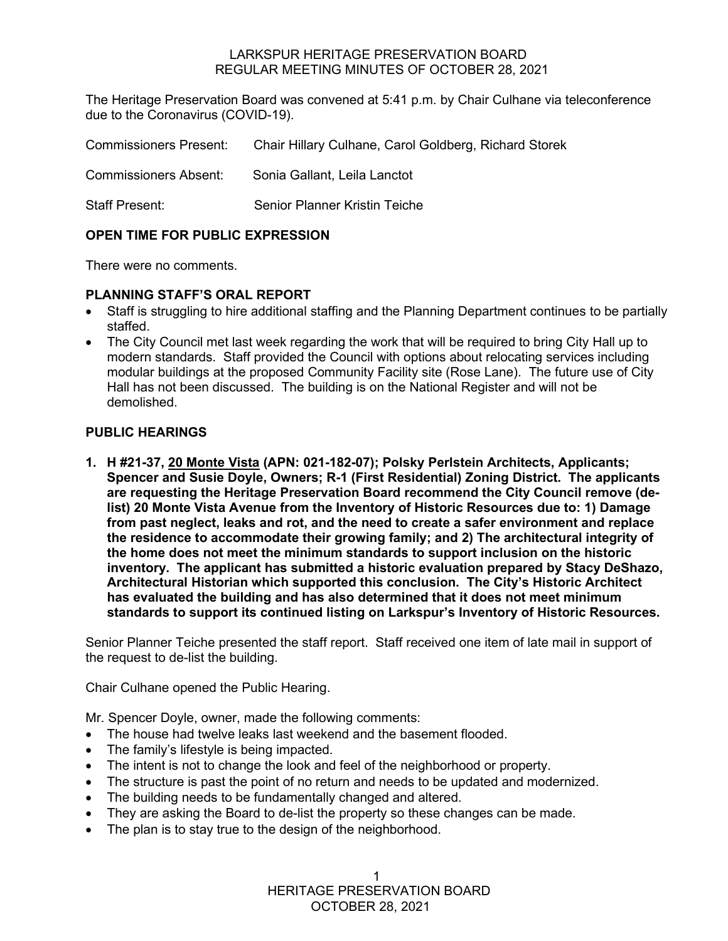#### LARKSPUR HERITAGE PRESERVATION BOARD REGULAR MEETING MINUTES OF OCTOBER 28, 2021

The Heritage Preservation Board was convened at 5:41 p.m. by Chair Culhane via teleconference due to the Coronavirus (COVID-19).

| <b>Commissioners Present:</b> | Chair Hillary Culhane, Carol Goldberg, Richard Storek |
|-------------------------------|-------------------------------------------------------|
| <b>Commissioners Absent:</b>  | Sonia Gallant, Leila Lanctot                          |
| <b>Staff Present:</b>         | Senior Planner Kristin Teiche                         |

# **OPEN TIME FOR PUBLIC EXPRESSION**

There were no comments.

#### **PLANNING STAFF'S ORAL REPORT**

- Staff is struggling to hire additional staffing and the Planning Department continues to be partially staffed.
- The City Council met last week regarding the work that will be required to bring City Hall up to modern standards. Staff provided the Council with options about relocating services including modular buildings at the proposed Community Facility site (Rose Lane). The future use of City Hall has not been discussed. The building is on the National Register and will not be demolished.

#### **PUBLIC HEARINGS**

**1. H #21-37, 20 Monte Vista (APN: 021-182-07); Polsky Perlstein Architects, Applicants; Spencer and Susie Doyle, Owners; R-1 (First Residential) Zoning District. The applicants are requesting the Heritage Preservation Board recommend the City Council remove (delist) 20 Monte Vista Avenue from the Inventory of Historic Resources due to: 1) Damage from past neglect, leaks and rot, and the need to create a safer environment and replace the residence to accommodate their growing family; and 2) The architectural integrity of the home does not meet the minimum standards to support inclusion on the historic inventory. The applicant has submitted a historic evaluation prepared by Stacy DeShazo, Architectural Historian which supported this conclusion. The City's Historic Architect has evaluated the building and has also determined that it does not meet minimum standards to support its continued listing on Larkspur's Inventory of Historic Resources.** 

Senior Planner Teiche presented the staff report. Staff received one item of late mail in support of the request to de-list the building.

Chair Culhane opened the Public Hearing.

Mr. Spencer Doyle, owner, made the following comments:

- The house had twelve leaks last weekend and the basement flooded.
- The family's lifestyle is being impacted.
- The intent is not to change the look and feel of the neighborhood or property.
- The structure is past the point of no return and needs to be updated and modernized.
- The building needs to be fundamentally changed and altered.
- They are asking the Board to de-list the property so these changes can be made.
- The plan is to stay true to the design of the neighborhood.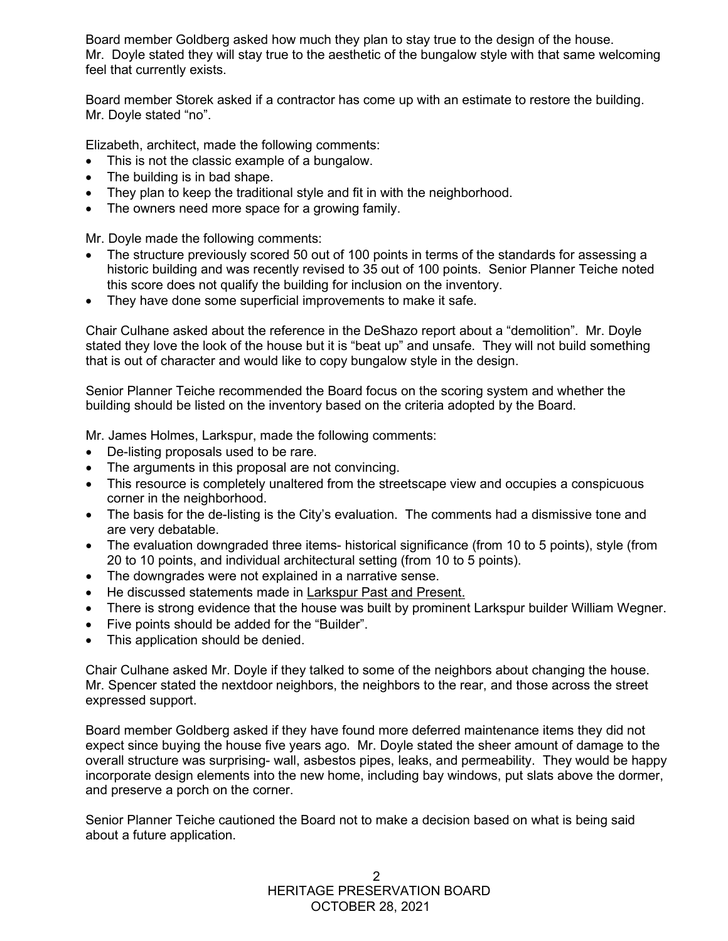Board member Goldberg asked how much they plan to stay true to the design of the house. Mr. Doyle stated they will stay true to the aesthetic of the bungalow style with that same welcoming feel that currently exists.

Board member Storek asked if a contractor has come up with an estimate to restore the building. Mr. Doyle stated "no".

Elizabeth, architect, made the following comments:

- This is not the classic example of a bungalow.
- The building is in bad shape.
- They plan to keep the traditional style and fit in with the neighborhood.
- The owners need more space for a growing family.

Mr. Doyle made the following comments:

- The structure previously scored 50 out of 100 points in terms of the standards for assessing a historic building and was recently revised to 35 out of 100 points. Senior Planner Teiche noted this score does not qualify the building for inclusion on the inventory.
- They have done some superficial improvements to make it safe.

Chair Culhane asked about the reference in the DeShazo report about a "demolition". Mr. Doyle stated they love the look of the house but it is "beat up" and unsafe. They will not build something that is out of character and would like to copy bungalow style in the design.

Senior Planner Teiche recommended the Board focus on the scoring system and whether the building should be listed on the inventory based on the criteria adopted by the Board.

Mr. James Holmes, Larkspur, made the following comments:

- De-listing proposals used to be rare.
- The arguments in this proposal are not convincing.
- This resource is completely unaltered from the streetscape view and occupies a conspicuous corner in the neighborhood.
- The basis for the de-listing is the City's evaluation. The comments had a dismissive tone and are very debatable.
- The evaluation downgraded three items- historical significance (from 10 to 5 points), style (from 20 to 10 points, and individual architectural setting (from 10 to 5 points).
- The downgrades were not explained in a narrative sense.
- He discussed statements made in Larkspur Past and Present.
- There is strong evidence that the house was built by prominent Larkspur builder William Wegner.
- Five points should be added for the "Builder".
- This application should be denied.

Chair Culhane asked Mr. Doyle if they talked to some of the neighbors about changing the house. Mr. Spencer stated the nextdoor neighbors, the neighbors to the rear, and those across the street expressed support.

Board member Goldberg asked if they have found more deferred maintenance items they did not expect since buying the house five years ago. Mr. Doyle stated the sheer amount of damage to the overall structure was surprising- wall, asbestos pipes, leaks, and permeability. They would be happy incorporate design elements into the new home, including bay windows, put slats above the dormer, and preserve a porch on the corner.

Senior Planner Teiche cautioned the Board not to make a decision based on what is being said about a future application.

> HERITAGE PRESERVATION BOARD OCTOBER 28, 2021  $\mathfrak{D}$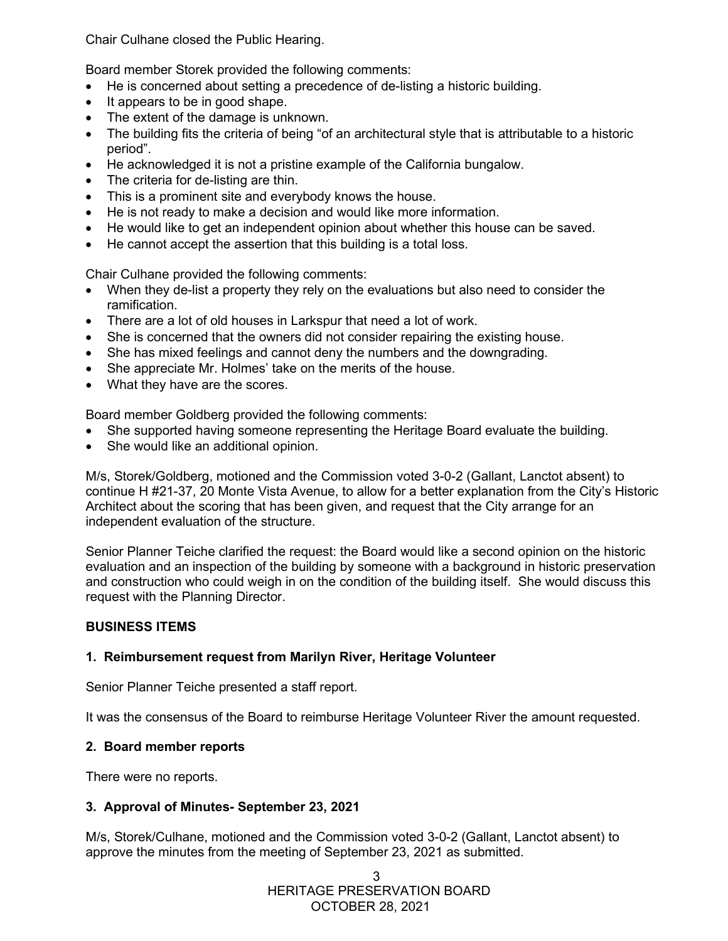Chair Culhane closed the Public Hearing.

Board member Storek provided the following comments:

- He is concerned about setting a precedence of de-listing a historic building.
- It appears to be in good shape.
- The extent of the damage is unknown.
- The building fits the criteria of being "of an architectural style that is attributable to a historic period".
- He acknowledged it is not a pristine example of the California bungalow.
- The criteria for de-listing are thin.
- This is a prominent site and everybody knows the house.
- He is not ready to make a decision and would like more information.
- He would like to get an independent opinion about whether this house can be saved.
- He cannot accept the assertion that this building is a total loss.

Chair Culhane provided the following comments:

- When they de-list a property they rely on the evaluations but also need to consider the ramification.
- There are a lot of old houses in Larkspur that need a lot of work.
- She is concerned that the owners did not consider repairing the existing house.
- She has mixed feelings and cannot deny the numbers and the downgrading.
- She appreciate Mr. Holmes' take on the merits of the house.
- What they have are the scores.

Board member Goldberg provided the following comments:

- She supported having someone representing the Heritage Board evaluate the building.
- She would like an additional opinion.

M/s, Storek/Goldberg, motioned and the Commission voted 3-0-2 (Gallant, Lanctot absent) to continue H #21-37, 20 Monte Vista Avenue, to allow for a better explanation from the City's Historic Architect about the scoring that has been given, and request that the City arrange for an independent evaluation of the structure.

Senior Planner Teiche clarified the request: the Board would like a second opinion on the historic evaluation and an inspection of the building by someone with a background in historic preservation and construction who could weigh in on the condition of the building itself. She would discuss this request with the Planning Director.

# **BUSINESS ITEMS**

# **1. Reimbursement request from Marilyn River, Heritage Volunteer**

Senior Planner Teiche presented a staff report.

It was the consensus of the Board to reimburse Heritage Volunteer River the amount requested.

# **2. Board member reports**

There were no reports.

# **3. Approval of Minutes- September 23, 2021**

M/s, Storek/Culhane, motioned and the Commission voted 3-0-2 (Gallant, Lanctot absent) to approve the minutes from the meeting of September 23, 2021 as submitted.

> HERITAGE PRESERVATION BOARD OCTOBER 28, 2021 3